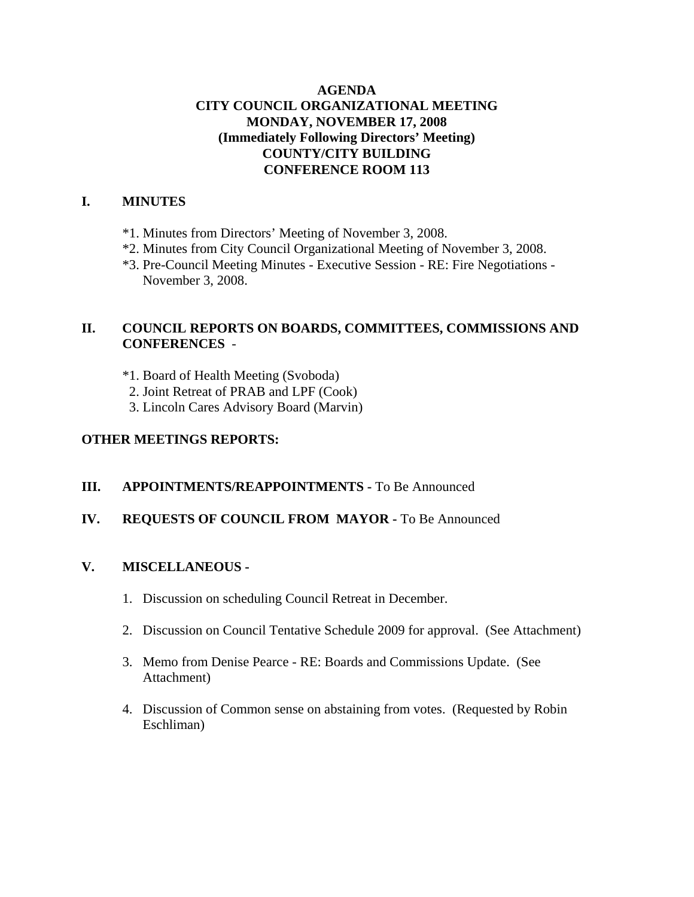## **AGENDA CITY COUNCIL ORGANIZATIONAL MEETING MONDAY, NOVEMBER 17, 2008 (Immediately Following Directors' Meeting) COUNTY/CITY BUILDING CONFERENCE ROOM 113**

## **I. MINUTES**

- \*1. Minutes from Directors' Meeting of November 3, 2008.
- \*2. Minutes from City Council Organizational Meeting of November 3, 2008.
- \*3. Pre-Council Meeting Minutes Executive Session RE: Fire Negotiations November 3, 2008.

## **II. COUNCIL REPORTS ON BOARDS, COMMITTEES, COMMISSIONS AND CONFERENCES** -

\*1. Board of Health Meeting (Svoboda)

- 2. Joint Retreat of PRAB and LPF (Cook)
- 3. Lincoln Cares Advisory Board (Marvin)

## **OTHER MEETINGS REPORTS:**

## **III.** APPOINTMENTS/REAPPOINTMENTS - To Be Announced

## **IV. REQUESTS OF COUNCIL FROM MAYOR -** To Be Announced

## **V. MISCELLANEOUS -**

- 1. Discussion on scheduling Council Retreat in December.
- 2. Discussion on Council Tentative Schedule 2009 for approval. (See Attachment)
- 3. Memo from Denise Pearce RE: Boards and Commissions Update. (See Attachment)
- 4. Discussion of Common sense on abstaining from votes. (Requested by Robin Eschliman)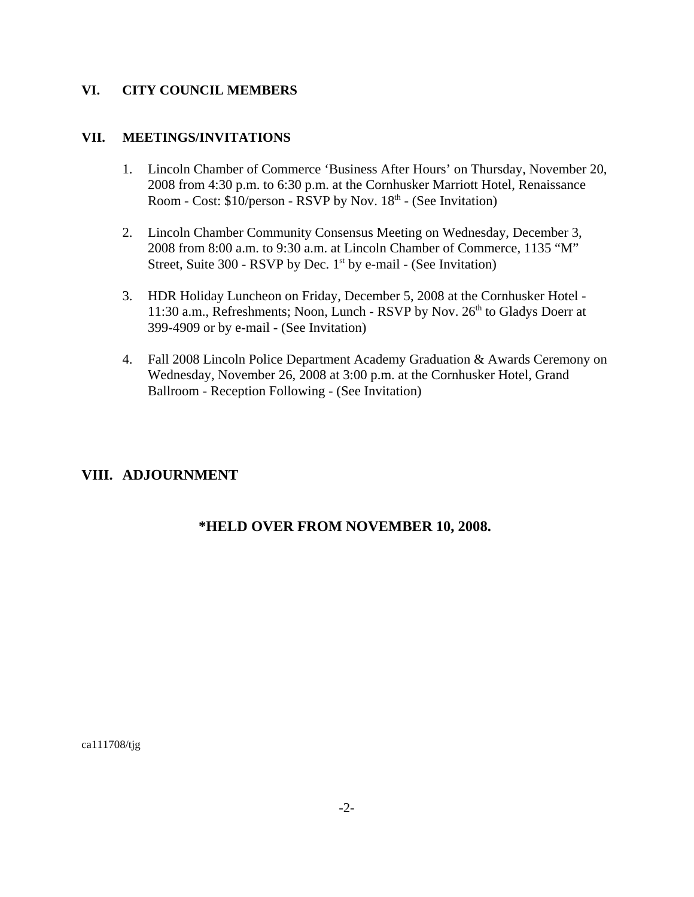#### **VI. CITY COUNCIL MEMBERS**

#### **VII. MEETINGS/INVITATIONS**

- 1. Lincoln Chamber of Commerce 'Business After Hours' on Thursday, November 20, 2008 from 4:30 p.m. to 6:30 p.m. at the Cornhusker Marriott Hotel, Renaissance Room - Cost:  $$10/person$  - RSVP by Nov.  $18<sup>th</sup>$  - (See Invitation)
- 2. Lincoln Chamber Community Consensus Meeting on Wednesday, December 3, 2008 from 8:00 a.m. to 9:30 a.m. at Lincoln Chamber of Commerce, 1135 "M" Street, Suite 300 - RSVP by Dec.  $1<sup>st</sup>$  by e-mail - (See Invitation)
- 3. HDR Holiday Luncheon on Friday, December 5, 2008 at the Cornhusker Hotel 11:30 a.m., Refreshments; Noon, Lunch - RSVP by Nov.  $26<sup>th</sup>$  to Gladys Doerr at 399-4909 or by e-mail - (See Invitation)
- 4. Fall 2008 Lincoln Police Department Academy Graduation & Awards Ceremony on Wednesday, November 26, 2008 at 3:00 p.m. at the Cornhusker Hotel, Grand Ballroom - Reception Following - (See Invitation)

# **VIII. ADJOURNMENT**

# **\*HELD OVER FROM NOVEMBER 10, 2008.**

ca111708/tjg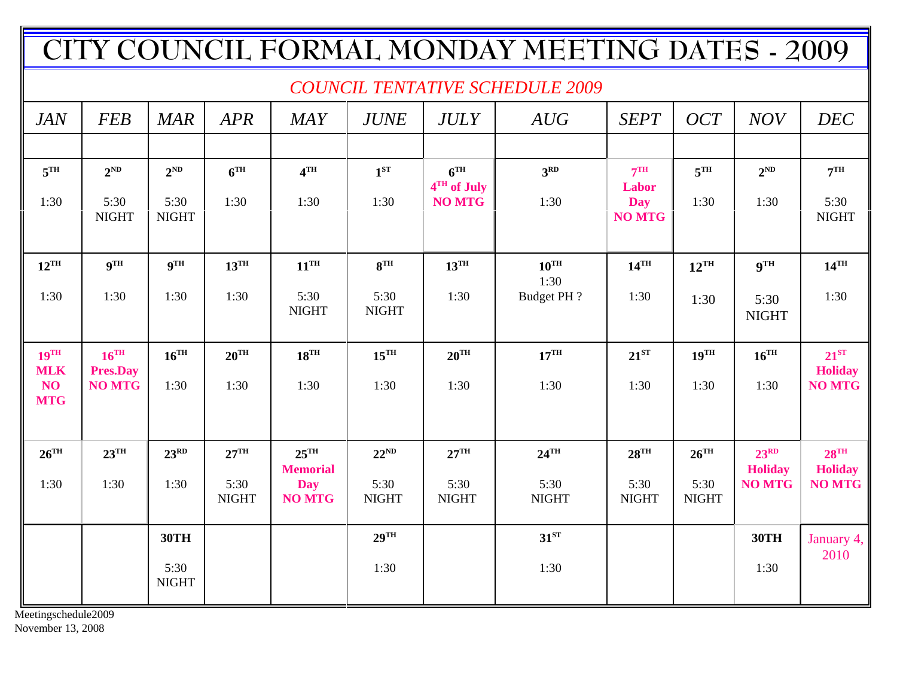| ITY COUNCIL FORMAL MONDAY MEETING DATES - 2009 |                              |                            |                      |                                       |                      |                                |                      |                             |                      |                                    |                                      |
|------------------------------------------------|------------------------------|----------------------------|----------------------|---------------------------------------|----------------------|--------------------------------|----------------------|-----------------------------|----------------------|------------------------------------|--------------------------------------|
| <b>COUNCIL TENTATIVE SCHEDULE 2009</b>         |                              |                            |                      |                                       |                      |                                |                      |                             |                      |                                    |                                      |
| <b>JAN</b>                                     | <b>FEB</b>                   | <b>MAR</b>                 | <b>APR</b>           | <b>MAY</b>                            | <b>JUNE</b>          | <b>JULY</b>                    | AUG                  | <b>SEPT</b>                 | OCT                  | <b>NOV</b>                         | <b>DEC</b>                           |
|                                                |                              |                            |                      |                                       |                      |                                |                      |                             |                      |                                    |                                      |
| $5^{\text{TH}}$                                | $2^{ND}$                     | $2^{ND}$                   | 6 <sup>TH</sup>      | 4 <sup>TH</sup>                       | $1^{ST}$             | 6 <sup>TH</sup><br>4TH of July | 3 <sup>RD</sup>      | 7 <sup>TH</sup><br>Labor    | 5 <sup>TH</sup>      | $2^{ND}$                           | 7 <sup>TH</sup>                      |
| 1:30                                           | 5:30<br><b>NIGHT</b>         | 5:30<br><b>NIGHT</b>       | 1:30                 | 1:30                                  | 1:30                 | <b>NO MTG</b>                  | 1:30                 | <b>Day</b><br><b>NO MTG</b> | 1:30                 | 1:30                               | 5:30<br><b>NIGHT</b>                 |
| $12^{\text{TH}}$                               | $\mathbf{Q}^{\mathrm{TH}}$   | $\mathbf{Q}^{\mathrm{TH}}$ | $13^{\text{TH}}$     | $11^{\text{TH}}$                      | 8 <sup>TH</sup>      | $13^{\text{TH}}$               | $10^{TH}$<br>1:30    | $14^{\text{TH}}$            | $12^{\text{TH}}$     | <b>9TH</b>                         | $14^{\text{TH}}$                     |
| 1:30                                           | 1:30                         | 1:30                       | 1:30                 | 5:30<br><b>NIGHT</b>                  | 5:30<br><b>NIGHT</b> | 1:30                           | Budget PH ?          | 1:30                        | 1:30                 | 5:30<br><b>NIGHT</b>               | 1:30                                 |
| $19$ <sup>TH</sup><br><b>MLK</b>               | $16^{TH}$<br><b>Pres.Day</b> | $16^{\text{TH}}$           | $20^{\text{TH}}$     | $18^{TH}$                             | $15^{\text{TH}}$     | $20^{\text{TH}}$               | $17^{\text{TH}}$     | $21^{ST}$                   | $19^{\text{TH}}$     | $16^{\text{TH}}$                   | $21^{ST}$<br><b>Holiday</b>          |
| NO<br><b>MTG</b>                               | <b>NO MTG</b>                | 1:30                       | 1:30                 | 1:30                                  | 1:30                 | 1:30                           | 1:30                 | 1:30                        | 1:30                 | 1:30                               | <b>NO MTG</b>                        |
|                                                |                              |                            |                      |                                       |                      |                                |                      |                             |                      |                                    |                                      |
| $26$ <sup>TH</sup>                             | $23^{\text{TH}}$             | 23 <sup>RD</sup>           | $27^{\text{TH}}$     | $25$ <sup>TH</sup><br><b>Memorial</b> | $22^{ND}$            | $27^{\text{TH}}$               | $24$ <sup>TH</sup>   | $28^{\text{TH}}$            | $26^{\text{TH}}$     | 23 <sup>RD</sup><br><b>Holiday</b> | $28$ <sup>TH</sup><br><b>Holiday</b> |
| 1:30                                           | 1:30                         | 1:30                       | 5:30<br><b>NIGHT</b> | <b>Day</b><br><b>NO MTG</b>           | 5:30<br><b>NIGHT</b> | 5:30<br><b>NIGHT</b>           | 5:30<br><b>NIGHT</b> | 5:30<br><b>NIGHT</b>        | 5:30<br><b>NIGHT</b> | <b>NO MTG</b>                      | <b>NO MTG</b>                        |
|                                                |                              | <b>30TH</b>                |                      |                                       | $29$ <sup>TH</sup>   |                                | $31^{ST}$            |                             |                      | 30TH                               | January 4,                           |
|                                                |                              | 5:30<br><b>NIGHT</b>       |                      |                                       | 1:30                 |                                | 1:30                 |                             |                      | 1:30                               | 2010                                 |

Meetingschedule2009

November 13, 2008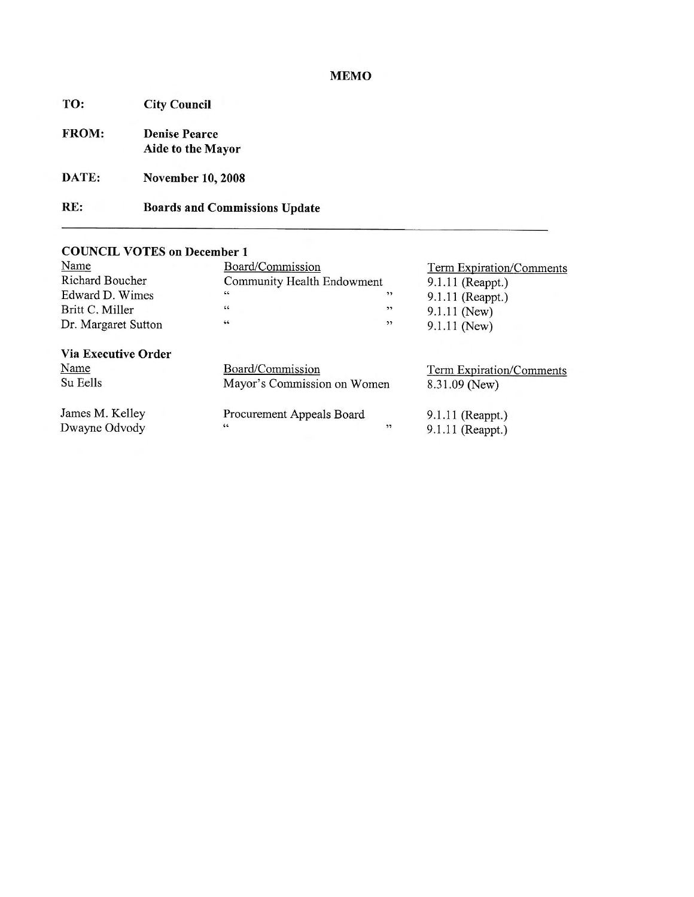## **MEMO**

| <b>City Council</b>                       |
|-------------------------------------------|
| <b>Denise Pearce</b><br>Aide to the Mayor |
| <b>November 10, 2008</b>                  |
| <b>Boards and Commissions Update</b>      |
|                                           |

# **COUNCIL VOTES on December 1**

| Name                       | Board/Commission            | Term Expiration/Comments        |                    |  |  |
|----------------------------|-----------------------------|---------------------------------|--------------------|--|--|
| Richard Boucher            | Community Health Endowment  | 9.1.11 (Reappt.)                |                    |  |  |
| Edward D. Wimes            | $\epsilon\epsilon$          | $\rightarrow$                   | 9.1.11 (Reappt.)   |  |  |
| Britt C. Miller            | $\zeta\,\zeta$              | , ,                             | $9.1.11$ (New)     |  |  |
| Dr. Margaret Sutton        | $\,64$                      | , ,                             | 9.1.11 (New)       |  |  |
| <b>Via Executive Order</b> |                             |                                 |                    |  |  |
| Name                       | Board/Commission            | <b>Term Expiration/Comments</b> |                    |  |  |
| Su Eells                   | Mayor's Commission on Women | 8.31.09 (New)                   |                    |  |  |
| James M. Kelley            | Procurement Appeals Board   |                                 | $9.1.11$ (Reappt.) |  |  |
| Dwayne Odvody              | 66                          | $, \,$                          | 9.1.11 (Reappt.)   |  |  |
|                            |                             |                                 |                    |  |  |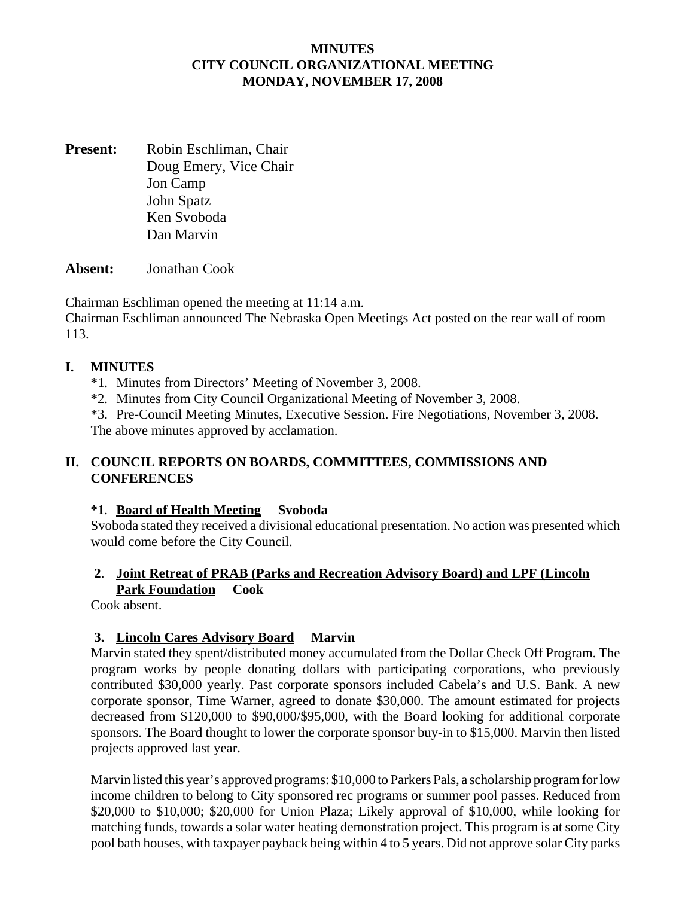#### **MINUTES CITY COUNCIL ORGANIZATIONAL MEETING MONDAY, NOVEMBER 17, 2008**

**Present:** Robin Eschliman, Chair Doug Emery, Vice Chair Jon Camp John Spatz Ken Svoboda Dan Marvin

**Absent:** Jonathan Cook

Chairman Eschliman opened the meeting at 11:14 a.m.

Chairman Eschliman announced The Nebraska Open Meetings Act posted on the rear wall of room 113.

#### **I. MINUTES**

- \*1. Minutes from Directors' Meeting of November 3, 2008.
- \*2. Minutes from City Council Organizational Meeting of November 3, 2008.
- \*3. Pre-Council Meeting Minutes, Executive Session. Fire Negotiations, November 3, 2008.

The above minutes approved by acclamation.

## **II. COUNCIL REPORTS ON BOARDS, COMMITTEES, COMMISSIONS AND CONFERENCES**

## **\*1**. **Board of Health Meeting Svoboda**

Svoboda stated they received a divisional educational presentation. No action was presented which would come before the City Council.

## **2**. **Joint Retreat of PRAB (Parks and Recreation Advisory Board) and LPF (Lincoln Park Foundation Cook**

Cook absent.

## **3. Lincoln Cares Advisory Board Marvin**

Marvin stated they spent/distributed money accumulated from the Dollar Check Off Program. The program works by people donating dollars with participating corporations, who previously contributed \$30,000 yearly. Past corporate sponsors included Cabela's and U.S. Bank. A new corporate sponsor, Time Warner, agreed to donate \$30,000. The amount estimated for projects decreased from \$120,000 to \$90,000/\$95,000, with the Board looking for additional corporate sponsors. The Board thought to lower the corporate sponsor buy-in to \$15,000. Marvin then listed projects approved last year.

Marvin listed this year's approved programs: \$10,000 to Parkers Pals, a scholarship program for low income children to belong to City sponsored rec programs or summer pool passes. Reduced from \$20,000 to \$10,000; \$20,000 for Union Plaza; Likely approval of \$10,000, while looking for matching funds, towards a solar water heating demonstration project. This program is at some City pool bath houses, with taxpayer payback being within 4 to 5 years. Did not approve solar City parks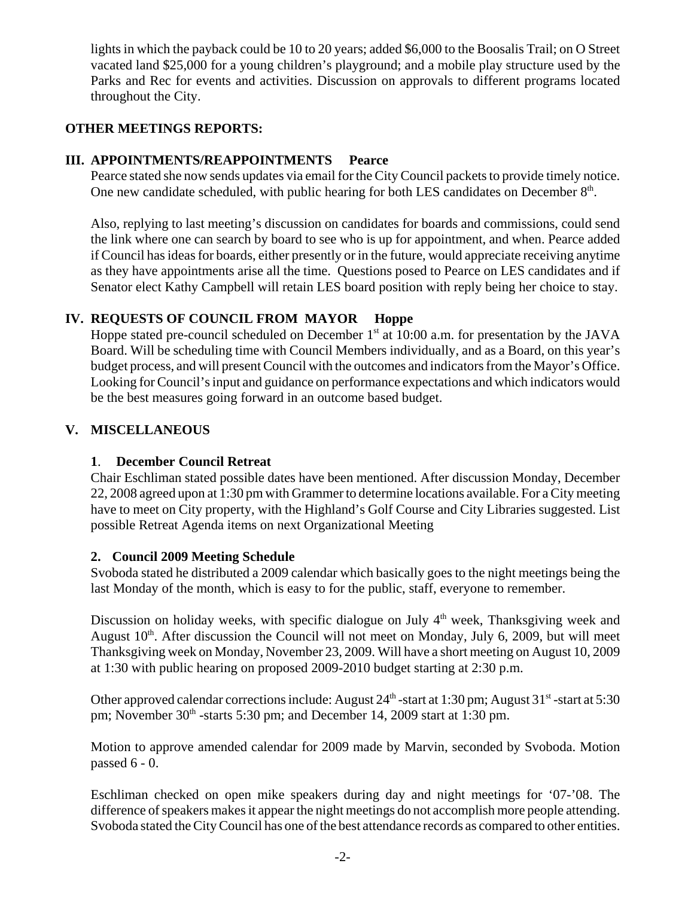lights in which the payback could be 10 to 20 years; added \$6,000 to the Boosalis Trail; on O Street vacated land \$25,000 for a young children's playground; and a mobile play structure used by the Parks and Rec for events and activities. Discussion on approvals to different programs located throughout the City.

## **OTHER MEETINGS REPORTS:**

## **III. APPOINTMENTS/REAPPOINTMENTS Pearce**

Pearce stated she now sends updates via email for the City Council packets to provide timely notice. One new candidate scheduled, with public hearing for both LES candidates on December  $8<sup>th</sup>$ .

Also, replying to last meeting's discussion on candidates for boards and commissions, could send the link where one can search by board to see who is up for appointment, and when. Pearce added if Council has ideas for boards, either presently or in the future, would appreciate receiving anytime as they have appointments arise all the time. Questions posed to Pearce on LES candidates and if Senator elect Kathy Campbell will retain LES board position with reply being her choice to stay.

## **IV. REQUESTS OF COUNCIL FROM MAYOR Hoppe**

Hoppe stated pre-council scheduled on December  $1<sup>st</sup>$  at 10:00 a.m. for presentation by the JAVA Board. Will be scheduling time with Council Members individually, and as a Board, on this year's budget process, and will present Council with the outcomes and indicators from the Mayor's Office. Looking for Council's input and guidance on performance expectations and which indicators would be the best measures going forward in an outcome based budget.

## **V. MISCELLANEOUS**

## **1**. **December Council Retreat**

Chair Eschliman stated possible dates have been mentioned. After discussion Monday, December 22, 2008 agreed upon at 1:30 pm with Grammer to determine locations available. For a City meeting have to meet on City property, with the Highland's Golf Course and City Libraries suggested. List possible Retreat Agenda items on next Organizational Meeting

## **2. Council 2009 Meeting Schedule**

Svoboda stated he distributed a 2009 calendar which basically goes to the night meetings being the last Monday of the month, which is easy to for the public, staff, everyone to remember.

Discussion on holiday weeks, with specific dialogue on July  $4<sup>th</sup>$  week, Thanksgiving week and August  $10<sup>th</sup>$ . After discussion the Council will not meet on Monday, July 6, 2009, but will meet Thanksgiving week on Monday, November 23, 2009. Will have a short meeting on August 10, 2009 at 1:30 with public hearing on proposed 2009-2010 budget starting at 2:30 p.m.

Other approved calendar corrections include: August  $24<sup>th</sup>$ -start at 1:30 pm; August  $31<sup>st</sup>$ -start at 5:30 pm; November  $30<sup>th</sup>$ -starts 5:30 pm; and December 14, 2009 start at 1:30 pm.

Motion to approve amended calendar for 2009 made by Marvin, seconded by Svoboda. Motion passed 6 - 0.

Eschliman checked on open mike speakers during day and night meetings for '07-'08. The difference of speakers makes it appear the night meetings do not accomplish more people attending. Svoboda stated the City Council has one of the best attendance records as compared to other entities.